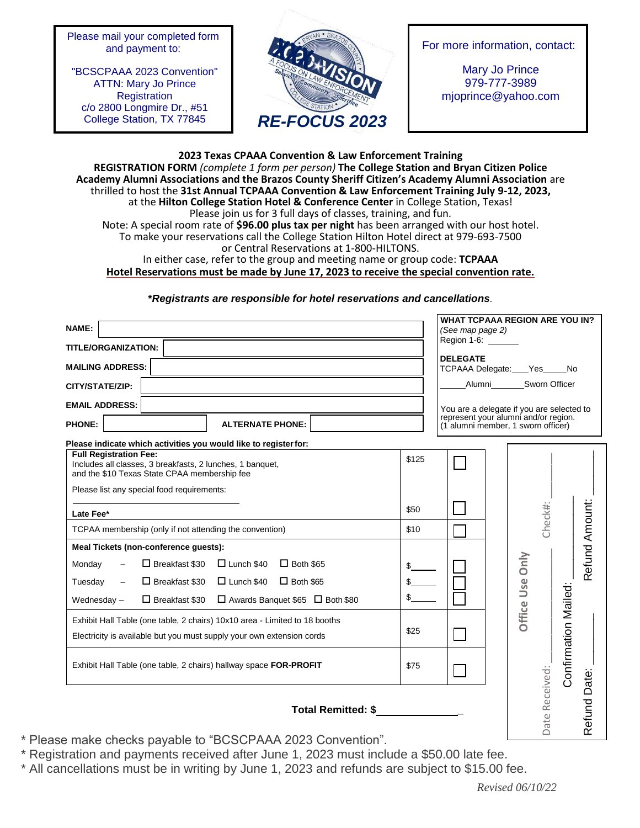Please mail your completed form and payment to:

"BCSCPAAA 2023 Convention" ATTN: Mary Jo Prince **Registration** c/o 2800 [Longmire Dr., #](http://www.tcpaaconvention.org/)51 College Station, TX 77845



For more information, contact:

Mary Jo Prince 979-777-3989 [mjoprince@yahoo.com](mailto:mjoprince@yahoo.com)

| 2023 Texas CPAAA Convention & Law Enforcement Training                                             |
|----------------------------------------------------------------------------------------------------|
| REGISTRATION FORM (complete 1 form per person) The College Station and Bryan Citizen Police        |
| Academy Alumni Associations and the Brazos County Sheriff Citizen's Academy Alumni Association are |
| thrilled to host the 31st Annual TCPAAA Convention & Law Enforcement Training July 9-12, 2023,     |
| at the Hilton College Station Hotel & Conference Center in College Station, Texas!                 |
| Please join us for 3 full days of classes, training, and fun.                                      |
| Note: A special room rate of \$96.00 plus tax per night has been arranged with our host hotel.     |
| To make your reservations call the College Station Hilton Hotel direct at 979-693-7500             |
| or Central Reservations at 1-800-HILTONS.                                                          |
| In either case, refer to the group and meeting name or group code: TCPAAA                          |
| Hotel Reservations must be made by June 17, 2023 to receive the special convention rate.           |
|                                                                                                    |

**\****Registrants are responsible for hotel reservations and cancellations.*

| NAME:                                                                                                                                               |                                             |       | <b>WHAT TCPAAA REGION ARE YOU IN?</b><br>(See map page 2) |                                                                                   |  |
|-----------------------------------------------------------------------------------------------------------------------------------------------------|---------------------------------------------|-------|-----------------------------------------------------------|-----------------------------------------------------------------------------------|--|
| TITLE/ORGANIZATION:                                                                                                                                 |                                             |       | Region 1-6:                                               |                                                                                   |  |
| <b>MAILING ADDRESS:</b>                                                                                                                             |                                             |       | <b>DELEGATE</b>                                           | TCPAAA Delegate: Yes<br>No.                                                       |  |
| CITY/STATE/ZIP:                                                                                                                                     |                                             |       | Alumni                                                    | Sworn Officer                                                                     |  |
| <b>EMAIL ADDRESS:</b>                                                                                                                               |                                             |       |                                                           | You are a delegate if you are selected to<br>represent your alumni and/or region. |  |
| <b>PHONE:</b><br><b>ALTERNATE PHONE:</b>                                                                                                            |                                             |       |                                                           | (1 alumni member, 1 sworn officer)                                                |  |
| Please indicate which activities you would like to register for:                                                                                    |                                             |       |                                                           |                                                                                   |  |
| <b>Full Registration Fee:</b><br>Includes all classes, 3 breakfasts, 2 lunches, 1 banquet,<br>and the \$10 Texas State CPAA membership fee          |                                             | \$125 |                                                           |                                                                                   |  |
| Please list any special food requirements:                                                                                                          |                                             |       |                                                           |                                                                                   |  |
| Late Fee*                                                                                                                                           |                                             | \$50  |                                                           | Refund Amount:<br>Check#:                                                         |  |
| TCPAA membership (only if not attending the convention)                                                                                             |                                             | \$10  |                                                           |                                                                                   |  |
| Meal Tickets (non-conference guests):                                                                                                               |                                             |       |                                                           |                                                                                   |  |
| $\Box$ Breakfast \$30<br>Monday                                                                                                                     | $\Box$ Lunch \$40<br>$\Box$ Both \$65       | \$    |                                                           | Only                                                                              |  |
| $\Box$ Breakfast \$30<br>Tuesday                                                                                                                    | $\Box$ Both \$65<br>$\Box$ Lunch \$40       |       |                                                           | Use                                                                               |  |
| Wednesday-<br>$\Box$ Breakfast \$30                                                                                                                 | $\Box$ Awards Banquet \$65 $\Box$ Both \$80 |       |                                                           |                                                                                   |  |
| Exhibit Hall Table (one table, 2 chairs) 10x10 area - Limited to 18 booths<br>Electricity is available but you must supply your own extension cords |                                             | \$25  |                                                           | Office                                                                            |  |
| Exhibit Hall Table (one table, 2 chairs) hallway space FOR-PROFIT                                                                                   |                                             | \$75  |                                                           | <b>Confirmation Mailed</b>                                                        |  |
| <b>Total Remitted: \$</b>                                                                                                                           |                                             |       |                                                           | Date Received:<br>Refund Date:                                                    |  |

- \* Please make checks payable to "BCSCPAAA 2023 Convention".
- \* Registration and payments received after June 1, 2023 must include a \$50.00 late fee.
- \* All cancellations must be in writing by June 1, 2023 and refunds are subject to \$15.00 fee.